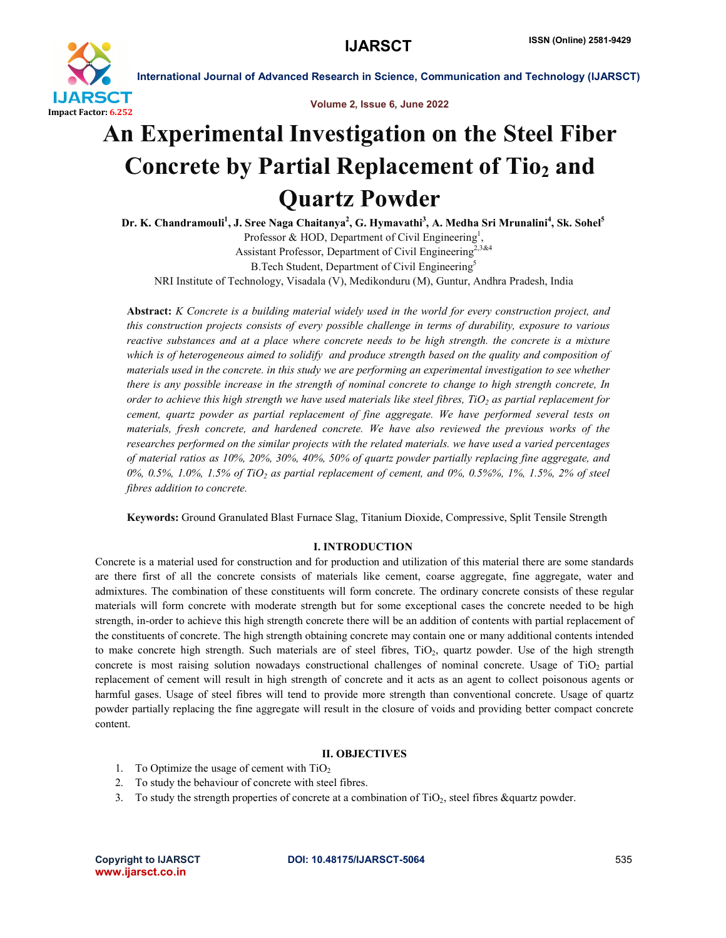

Volume 2, Issue 6, June 2022

# An Experimental Investigation on the Steel Fiber Concrete by Partial Replacement of Tio<sub>2</sub> and Quartz Powder

Dr. K. Chandramouli<sup>1</sup>, J. Sree Naga Chaitanya<sup>2</sup>, G. Hymavathi<sup>3</sup>, A. Medha Sri Mrunalini<sup>4</sup>, Sk. Sohel<sup>5</sup> Professor & HOD, Department of Civil Engineering<sup>1</sup>, Assistant Professor, Department of Civil Engineering<sup>2,3&4</sup> B.Tech Student, Department of Civil Engineering<sup>5</sup>

NRI Institute of Technology, Visadala (V), Medikonduru (M), Guntur, Andhra Pradesh, India

Abstract: *K Concrete is a building material widely used in the world for every construction project, and this construction projects consists of every possible challenge in terms of durability, exposure to various reactive substances and at a place where concrete needs to be high strength. the concrete is a mixture which is of heterogeneous aimed to solidify and produce strength based on the quality and composition of materials used in the concrete. in this study we are performing an experimental investigation to see whether there is any possible increase in the strength of nominal concrete to change to high strength concrete, In order to achieve this high strength we have used materials like steel fibres,*  $TiO<sub>2</sub>$  *as partial replacement for cement, quartz powder as partial replacement of fine aggregate. We have performed several tests on materials, fresh concrete, and hardened concrete. We have also reviewed the previous works of the researches performed on the similar projects with the related materials. we have used a varied percentages of material ratios as 10%, 20%, 30%, 40%, 50% of quartz powder partially replacing fine aggregate, and 0%, 0.5%, 1.0%, 1.5% of TiO2 as partial replacement of cement, and 0%, 0.5%%, 1%, 1.5%, 2% of steel fibres addition to concrete.*

Keywords: Ground Granulated Blast Furnace Slag, Titanium Dioxide, Compressive, Split Tensile Strength

# I. INTRODUCTION

Concrete is a material used for construction and for production and utilization of this material there are some standards are there first of all the concrete consists of materials like cement, coarse aggregate, fine aggregate, water and admixtures. The combination of these constituents will form concrete. The ordinary concrete consists of these regular materials will form concrete with moderate strength but for some exceptional cases the concrete needed to be high strength, in-order to achieve this high strength concrete there will be an addition of contents with partial replacement of the constituents of concrete. The high strength obtaining concrete may contain one or many additional contents intended to make concrete high strength. Such materials are of steel fibres, TiO<sub>2</sub>, quartz powder. Use of the high strength concrete is most raising solution nowadays constructional challenges of nominal concrete. Usage of TiO<sub>2</sub> partial replacement of cement will result in high strength of concrete and it acts as an agent to collect poisonous agents or harmful gases. Usage of steel fibres will tend to provide more strength than conventional concrete. Usage of quartz powder partially replacing the fine aggregate will result in the closure of voids and providing better compact concrete content.

# II. OBJECTIVES

- 1. To Optimize the usage of cement with  $TiO<sub>2</sub>$
- 2. To study the behaviour of concrete with steel fibres.
- 3. To study the strength properties of concrete at a combination of  $TiO<sub>2</sub>$ , steel fibres &quartz powder.

www.ijarsct.co.in

Copyright to IJARSCT DOI: 10.48175/IJARSCT-5064 **535**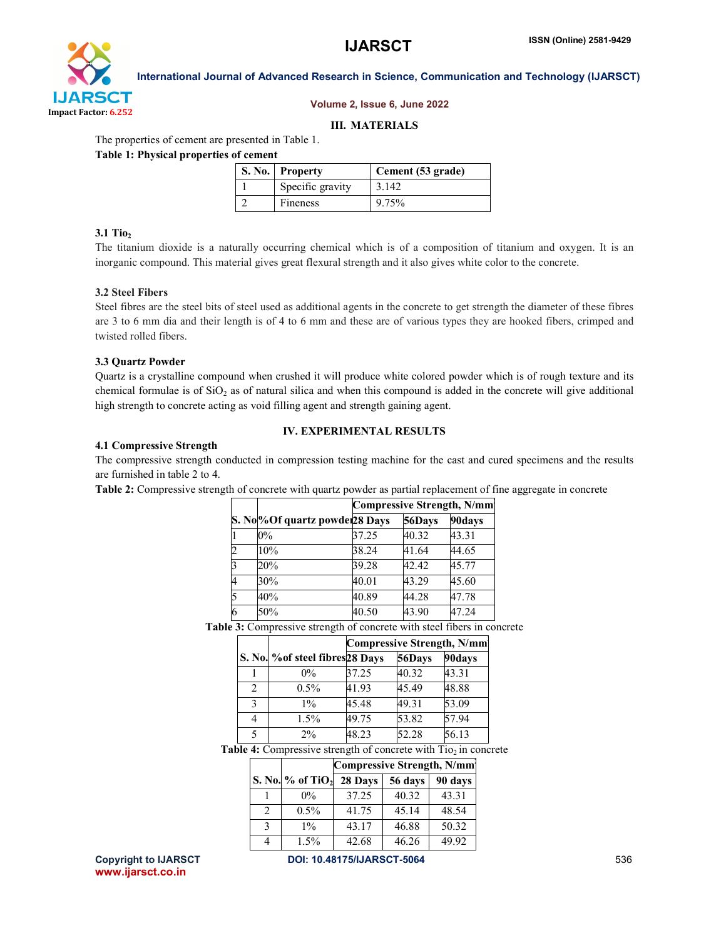

#### Volume 2, Issue 6, June 2022

#### III. MATERIALS

The properties of cement are presented in Table 1.

Table 1: Physical properties of cement

| S. No. Property  | Cement (53 grade) |
|------------------|-------------------|
| Specific gravity | 3.142             |
| Fineness         | 9.75%             |

# $3.1$  Tio<sub>2</sub>

The titanium dioxide is a naturally occurring chemical which is of a composition of titanium and oxygen. It is an inorganic compound. This material gives great flexural strength and it also gives white color to the concrete.

# 3.2 Steel Fibers

Steel fibres are the steel bits of steel used as additional agents in the concrete to get strength the diameter of these fibres are 3 to 6 mm dia and their length is of 4 to 6 mm and these are of various types they are hooked fibers, crimped and twisted rolled fibers.

#### 3.3 Quartz Powder

Quartz is a crystalline compound when crushed it will produce white colored powder which is of rough texture and its chemical formulae is of  $SiO<sub>2</sub>$  as of natural silica and when this compound is added in the concrete will give additional high strength to concrete acting as void filling agent and strength gaining agent.

# IV. EXPERIMENTAL RESULTS

#### 4.1 Compressive Strength

The compressive strength conducted in compression testing machine for the cast and cured specimens and the results are furnished in table 2 to 4.

Table 2: Compressive strength of concrete with quartz powder as partial replacement of fine aggregate in concrete

|   |                               | <b>Compressive Strength, N/mm</b> |        |        |  |
|---|-------------------------------|-----------------------------------|--------|--------|--|
|   | S. No%Of quartz powder28 Days |                                   | 56Days | 90days |  |
|   | $0\%$                         | 37.25                             | 40.32  | 43.31  |  |
|   | 10%                           | 38.24                             | 41.64  | 44.65  |  |
|   | 20%                           | 39.28                             | 42.42  | 45.77  |  |
|   | 30%                           | 40.01                             | 43.29  | 45.60  |  |
|   | 40%                           | 40.89                             | 44.28  | 47.78  |  |
| 6 | 50%                           | 40.50                             | 43.90  | 47.24  |  |

Table 3: Compressive strength of concrete with steel fibers in concrete

|   |                                  | <b>Compressive Strength, N/mm</b> |        |        |  |
|---|----------------------------------|-----------------------------------|--------|--------|--|
|   | S. No. % of steel fibres 28 Days |                                   | 56Days | 90days |  |
|   | $0\%$                            | 37.25                             | 40.32  | 43.31  |  |
| 2 | $0.5\%$                          | 41.93                             | 45.49  | 48.88  |  |
| 3 | $1\%$                            | 45.48                             | 49.31  | 53.09  |  |
| 4 | $1.5\%$                          | 49.75                             | 53.82  | 57.94  |  |
|   | $2\%$                            | 48.23                             | 52.28  | 56.13  |  |

Table 4: Compressive strength of concrete with  $Ti<sub>0</sub>$  in concrete

|               |                                | <b>Compressive Strength, N/mm</b> |         |         |  |
|---------------|--------------------------------|-----------------------------------|---------|---------|--|
|               | S. No. $%$ of TiO <sub>2</sub> | 28 Days                           | 56 days | 90 days |  |
|               | $0\%$                          | 37.25                             | 40.32   | 43.31   |  |
| $\mathcal{L}$ | $0.5\%$                        | 41.75                             | 45.14   | 48.54   |  |
| 3             | $1\%$                          | 43.17                             | 46.88   | 50.32   |  |
|               | 1.5%                           | 42.68                             | 46.26   | 49.92   |  |

www.ijarsct.co.in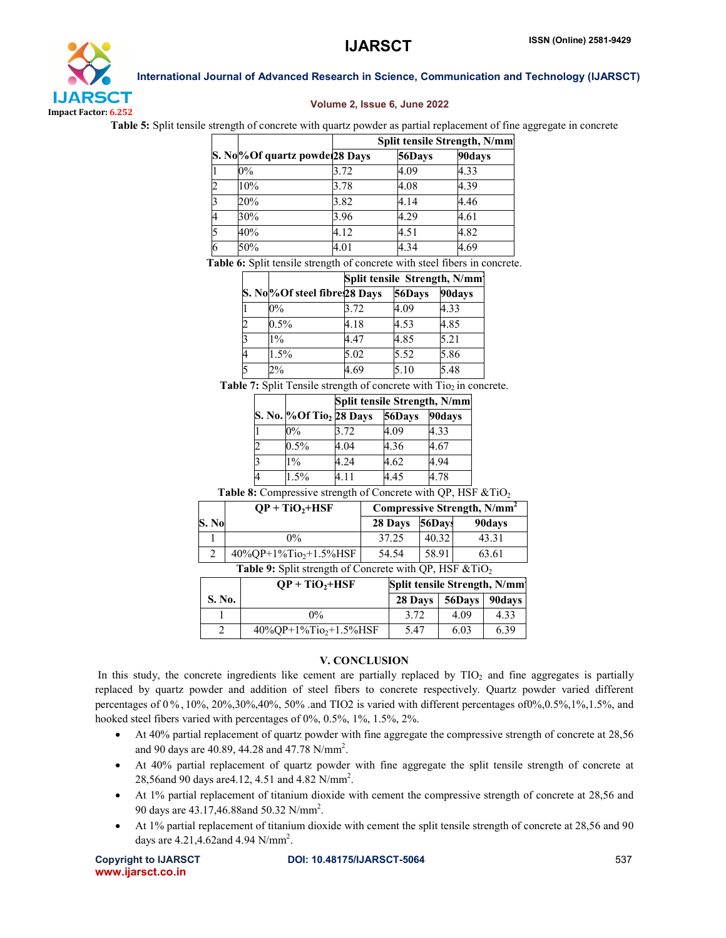

### Volume 2, Issue 6, June 2022

Table 5: Split tensile strength of concrete with quartz powder as partial replacement of fine aggregate in concrete

|   |                               | Split tensile Strength, N/mm |        |        |
|---|-------------------------------|------------------------------|--------|--------|
|   | S. No%Of quartz powder28 Days |                              | 56Days | 90days |
|   | $0\%$                         | 3.72                         | 4.09   | 4.33   |
|   | 10%                           | 3.78                         | 4.08   | 4.39   |
|   | 20%                           | 3.82                         | 4.14   | 4.46   |
|   | 30%                           | 3.96                         | 4.29   | 4.61   |
|   | 40%                           | 4.12                         | 4.51   | 4.82   |
| 6 | 50%                           | 4.01                         | 4.34   | 4.69   |

Table 6: Split tensile strength of concrete with steel fibers in concrete.

|                                           | Split tensile Strength, N/mm |        |        |  |
|-------------------------------------------|------------------------------|--------|--------|--|
| S. No <sup>o</sup> Of steel fibre 28 Days |                              | 56Days | 90days |  |
| $0\%$                                     | 3.72                         | 4.09   | 4.33   |  |
| $0.5\%$                                   | 4.18                         | 4.53   | 4.85   |  |
| $1\%$                                     | 4.47                         | 4.85   | 5.21   |  |
| 1.5%                                      | 5.02                         | 5.52   | 5.86   |  |
| $2\%$                                     | 4.69                         | 5.10   | 5.48   |  |

Table 7: Split Tensile strength of concrete with  $Ti<sub>2</sub>$  in concrete.

|                                      | Split tensile Strength, N/mm |      |        |  |
|--------------------------------------|------------------------------|------|--------|--|
| S. No. % Of Tio <sub>2</sub> 28 Days | 56Days                       |      | 90days |  |
| $0\%$                                | 3.72                         | 4.09 | 4.33   |  |
| $0.5\%$                              | 4.04                         | 4.36 | 4.67   |  |
| $1\%$                                | 4.24                         | 4.62 | 4.94   |  |
| 1.5%                                 | 411                          | 4.45 | 4.78   |  |

Table 8: Compressive strength of Concrete with QP, HSF  $&TiO<sub>2</sub>$ 

|                                                        | $OP + TiO2+HSF$            | Compressive Strength, N/mm <sup>2</sup> |        |        |  |
|--------------------------------------------------------|----------------------------|-----------------------------------------|--------|--------|--|
| S. No                                                  |                            | 28 Days                                 | 56Days | 90days |  |
|                                                        | $0\%$                      | 37 25                                   | 40.32  | 43.31  |  |
|                                                        | $40\%OP+1\%Tio_2+1.5\%HSF$ | 54.54                                   | 58.91  | 63.61  |  |
| Table 9: Split strength of Concrete with QP, HSF &TiO2 |                            |                                         |        |        |  |

|               | $OP + TiO_2 + HSF$                    | Split tensile Strength, N/mm |      |      |  |
|---------------|---------------------------------------|------------------------------|------|------|--|
| <b>S. No.</b> |                                       | 28 Days   56Days   90days    |      |      |  |
|               | $0\%$                                 | 3.72                         | 4.09 | 4.33 |  |
|               | $40\%$ OP+1%Tio <sub>2</sub> +1.5%HSF | 5.47                         | 6.03 | 6.39 |  |

#### V. CONCLUSION

In this study, the concrete ingredients like cement are partially replaced by  $TIO<sub>2</sub>$  and fine aggregates is partially replaced by quartz powder and addition of steel fibers to concrete respectively. Quartz powder varied different percentages of 0 % , 10%, 20%,30%,40%, 50% .and TIO2 is varied with different percentages of0%,0.5%,1%,1.5%, and hooked steel fibers varied with percentages of 0%, 0.5%, 1%, 1.5%, 2%.

- At 40% partial replacement of quartz powder with fine aggregate the compressive strength of concrete at 28,56 and 90 days are 40.89, 44.28 and 47.78  $N/mm^2$ .
- At 40% partial replacement of quartz powder with fine aggregate the split tensile strength of concrete at 28,56and 90 days are 4.12, 4.51 and 4.82 N/mm<sup>2</sup>.
- At 1% partial replacement of titanium dioxide with cement the compressive strength of concrete at 28,56 and 90 days are 43.17,46.88and 50.32 N/mm<sup>2</sup>.
- At 1% partial replacement of titanium dioxide with cement the split tensile strength of concrete at 28,56 and 90 days are  $4.21, 4.62$  and  $4.94$  N/mm<sup>2</sup>.

www.ijarsct.co.in